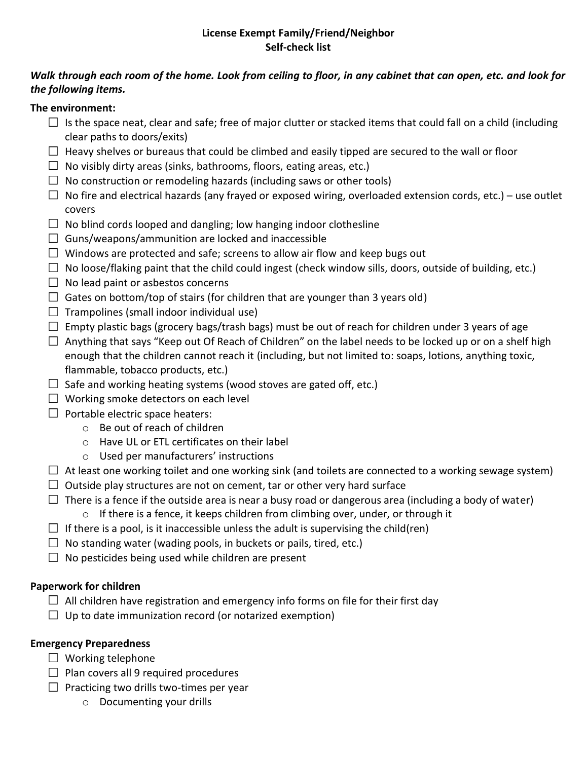### **License Exempt Family/Friend/Neighbor Self-check list**

## *Walk through each room of the home. Look from ceiling to floor, in any cabinet that can open, etc. and look for the following items.*

## **The environment:**

- $\Box$  Is the space neat, clear and safe; free of major clutter or stacked items that could fall on a child (including clear paths to doors/exits)
- $\Box$  Heavy shelves or bureaus that could be climbed and easily tipped are secured to the wall or floor
- $\Box$  No visibly dirty areas (sinks, bathrooms, floors, eating areas, etc.)
- $\Box$  No construction or remodeling hazards (including saws or other tools)
- $\Box$  No fire and electrical hazards (any frayed or exposed wiring, overloaded extension cords, etc.) use outlet covers
- $\Box$  No blind cords looped and dangling; low hanging indoor clothesline
- $\Box$  Guns/weapons/ammunition are locked and inaccessible
- $\Box$  Windows are protected and safe; screens to allow air flow and keep bugs out
- $\Box$  No loose/flaking paint that the child could ingest (check window sills, doors, outside of building, etc.)
- $\Box$  No lead paint or asbestos concerns
- $\Box$  Gates on bottom/top of stairs (for children that are younger than 3 years old)
- $\Box$  Trampolines (small indoor individual use)
- $\Box$  Empty plastic bags (grocery bags/trash bags) must be out of reach for children under 3 years of age
- $\Box$  Anything that says "Keep out Of Reach of Children" on the label needs to be locked up or on a shelf high enough that the children cannot reach it (including, but not limited to: soaps, lotions, anything toxic, flammable, tobacco products, etc.)
- $\Box$  Safe and working heating systems (wood stoves are gated off, etc.)
- $\Box$  Working smoke detectors on each level
- $\Box$  Portable electric space heaters:
	- o Be out of reach of children
	- o Have UL or ETL certificates on their label
	- o Used per manufacturers' instructions
- $\Box$  At least one working toilet and one working sink (and toilets are connected to a working sewage system)
- $\Box$  Outside play structures are not on cement, tar or other very hard surface
- $\Box$  There is a fence if the outside area is near a busy road or dangerous area (including a body of water)
	- $\circ$  If there is a fence, it keeps children from climbing over, under, or through it
- $\Box$  If there is a pool, is it inaccessible unless the adult is supervising the child(ren)
- $\Box$  No standing water (wading pools, in buckets or pails, tired, etc.)
- $\Box$  No pesticides being used while children are present

# **Paperwork for children**

- $\Box$  All children have registration and emergency info forms on file for their first day
- $\Box$  Up to date immunization record (or notarized exemption)

# **Emergency Preparedness**

- $\Box$  Working telephone
- $\Box$  Plan covers all 9 required procedures
- $\Box$  Practicing two drills two-times per year
	- o Documenting your drills